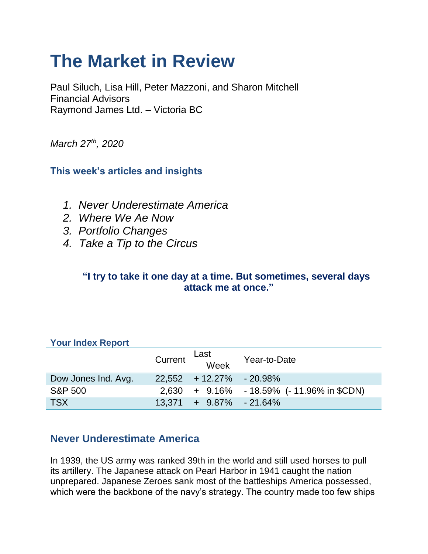# **The Market in Review**

Paul Siluch, Lisa Hill, Peter Mazzoni, and Sharon Mitchell Financial Advisors Raymond James Ltd. – Victoria BC

*March 27th, 2020*

## **This week's articles and insights**

- *1. Never Underestimate America*
- *2. Where We Ae Now*
- *3. Portfolio Changes*
- *4. Take a Tip to the Circus*

#### **"I try to take it one day at a time. But sometimes, several days attack me at once."**

| <b>TOUT INGEX REPORT</b> |                              |                                            |
|--------------------------|------------------------------|--------------------------------------------|
|                          | Last<br>Current Week         | Year-to-Date                               |
| Dow Jones Ind. Avg.      | $22,552 + 12.27\% - 20.98\%$ |                                            |
| <b>S&amp;P 500</b>       |                              | 2,630 + 9.16% - 18.59% (- 11.96% in \$CDN) |
| <b>TSX</b>               | $13.371 + 9.87\% - 21.64\%$  |                                            |

#### **Your Index Report**

## **Never Underestimate America**

In 1939, the US army was ranked 39th in the world and still used horses to pull its artillery. The Japanese attack on Pearl Harbor in 1941 caught the nation unprepared. Japanese Zeroes sank most of the battleships America possessed, which were the backbone of the navy's strategy. The country made too few ships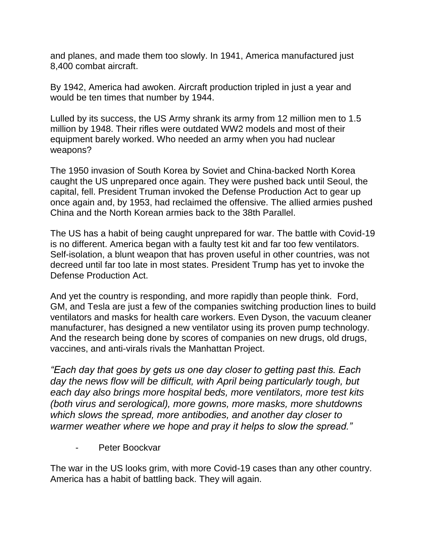and planes, and made them too slowly. In 1941, America manufactured just 8,400 combat aircraft.

By 1942, America had awoken. Aircraft production tripled in just a year and would be ten times that number by 1944.

Lulled by its success, the US Army shrank its army from 12 million men to 1.5 million by 1948. Their rifles were outdated WW2 models and most of their equipment barely worked. Who needed an army when you had nuclear weapons?

The 1950 invasion of South Korea by Soviet and China-backed North Korea caught the US unprepared once again. They were pushed back until Seoul, the capital, fell. President Truman invoked the Defense Production Act to gear up once again and, by 1953, had reclaimed the offensive. The allied armies pushed China and the North Korean armies back to the 38th Parallel.

The US has a habit of being caught unprepared for war. The battle with Covid-19 is no different. America began with a faulty test kit and far too few ventilators. Self-isolation, a blunt weapon that has proven useful in other countries, was not decreed until far too late in most states. President Trump has yet to invoke the Defense Production Act.

And yet the country is responding, and more rapidly than people think. Ford, GM, and Tesla are just a few of the companies switching production lines to build ventilators and masks for health care workers. Even Dyson, the vacuum cleaner manufacturer, has designed a new ventilator using its proven pump technology. And the research being done by scores of companies on new drugs, old drugs, vaccines, and anti-virals rivals the Manhattan Project.

*"Each day that goes by gets us one day closer to getting past this. Each*  day the news flow will be difficult, with April being particularly tough, but *each day also brings more hospital beds, more ventilators, more test kits (both virus and serological), more gowns, more masks, more shutdowns which slows the spread, more antibodies, and another day closer to warmer weather where we hope and pray it helps to slow the spread."*

- Peter Boockvar

The war in the US looks grim, with more Covid-19 cases than any other country. America has a habit of battling back. They will again.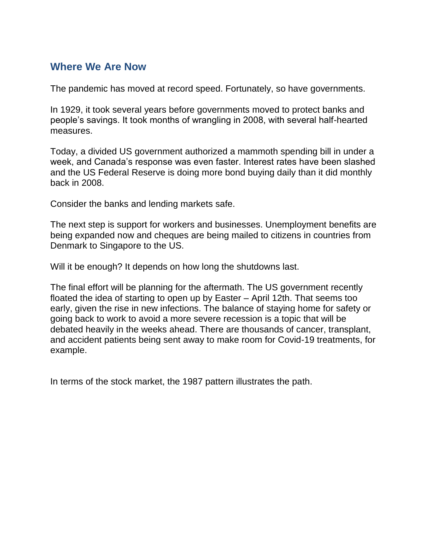## **Where We Are Now**

The pandemic has moved at record speed. Fortunately, so have governments.

In 1929, it took several years before governments moved to protect banks and people's savings. It took months of wrangling in 2008, with several half-hearted measures.

Today, a divided US government authorized a mammoth spending bill in under a week, and Canada's response was even faster. Interest rates have been slashed and the US Federal Reserve is doing more bond buying daily than it did monthly back in 2008.

Consider the banks and lending markets safe.

The next step is support for workers and businesses. Unemployment benefits are being expanded now and cheques are being mailed to citizens in countries from Denmark to Singapore to the US.

Will it be enough? It depends on how long the shutdowns last.

The final effort will be planning for the aftermath. The US government recently floated the idea of starting to open up by Easter – April 12th. That seems too early, given the rise in new infections. The balance of staying home for safety or going back to work to avoid a more severe recession is a topic that will be debated heavily in the weeks ahead. There are thousands of cancer, transplant, and accident patients being sent away to make room for Covid-19 treatments, for example.

In terms of the stock market, the 1987 pattern illustrates the path.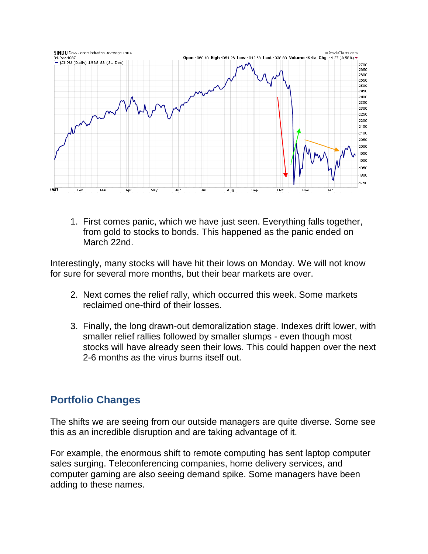

1. First comes panic, which we have just seen. Everything falls together, from gold to stocks to bonds. This happened as the panic ended on March 22nd.

Interestingly, many stocks will have hit their lows on Monday. We will not know for sure for several more months, but their bear markets are over.

- 2. Next comes the relief rally, which occurred this week. Some markets reclaimed one-third of their losses.
- 3. Finally, the long drawn-out demoralization stage. Indexes drift lower, with smaller relief rallies followed by smaller slumps - even though most stocks will have already seen their lows. This could happen over the next 2-6 months as the virus burns itself out.

### **Portfolio Changes**

The shifts we are seeing from our outside managers are quite diverse. Some see this as an incredible disruption and are taking advantage of it.

For example, the enormous shift to remote computing has sent laptop computer sales surging. Teleconferencing companies, home delivery services, and computer gaming are also seeing demand spike. Some managers have been adding to these names.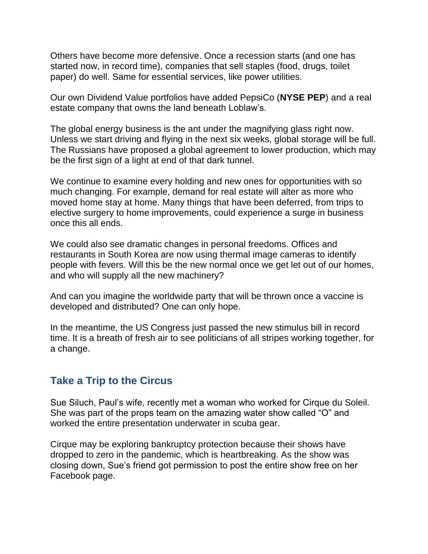Others have become more defensive. Once a recession starts (and one has started now, in record time), companies that sell staples (food, drugs, toilet paper) do well. Same for essential services, like power utilities.

Our own Dividend Value portfolios have added PepsiCo (**NYSE PEP**) and a real estate company that owns the land beneath Loblaw's.

The global energy business is the ant under the magnifying glass right now. Unless we start driving and flying in the next six weeks, global storage will be full. The Russians have proposed a global agreement to lower production, which may be the first sign of a light at end of that dark tunnel.

We continue to examine every holding and new ones for opportunities with so much changing. For example, demand for real estate will alter as more who moved home stay at home. Many things that have been deferred, from trips to elective surgery to home improvements, could experience a surge in business once this all ends.

We could also see dramatic changes in personal freedoms. Offices and restaurants in South Korea are now using thermal image cameras to identify people with fevers. Will this be the new normal once we get let out of our homes, and who will supply all the new machinery?

And can you imagine the worldwide party that will be thrown once a vaccine is developed and distributed? One can only hope.

In the meantime, the US Congress just passed the new stimulus bill in record time. It is a breath of fresh air to see politicians of all stripes working together, for a change.

### **Take a Trip to the Circus**

Sue Siluch, Paul's wife, recently met a woman who worked for Cirque du Soleil. She was part of the props team on the amazing water show called "O" and worked the entire presentation underwater in scuba gear.

Cirque may be exploring bankruptcy protection because their shows have dropped to zero in the pandemic, which is heartbreaking. As the show was closing down, Sue's friend got permission to post the entire show free on her Facebook page.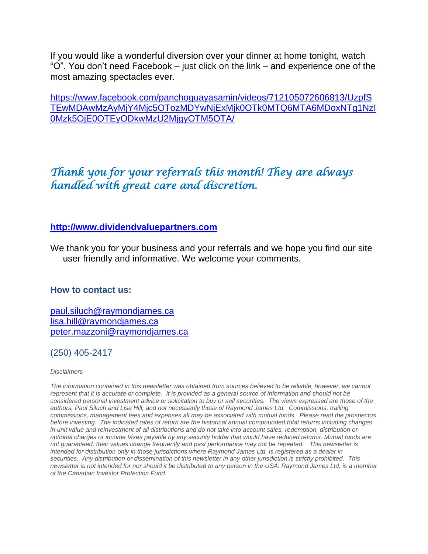If you would like a wonderful diversion over your dinner at home tonight, watch "O". You don't need Facebook – just click on the link – and experience one of the most amazing spectacles ever.

[https://www.facebook.com/panchoguayasamin/videos/712105072606813/UzpfS](https://www.facebook.com/panchoguayasamin/videos/712105072606813/UzpfSTEwMDAwMzAyMjY4Mjc5OTozMDYwNjExMjk0OTk0MTQ6MTA6MDoxNTg1NzI0Mzk5OjE0OTEyODkwMzU2MjgyOTM5OTA/) [TEwMDAwMzAyMjY4Mjc5OTozMDYwNjExMjk0OTk0MTQ6MTA6MDoxNTg1NzI](https://www.facebook.com/panchoguayasamin/videos/712105072606813/UzpfSTEwMDAwMzAyMjY4Mjc5OTozMDYwNjExMjk0OTk0MTQ6MTA6MDoxNTg1NzI0Mzk5OjE0OTEyODkwMzU2MjgyOTM5OTA/) [0Mzk5OjE0OTEyODkwMzU2MjgyOTM5OTA/](https://www.facebook.com/panchoguayasamin/videos/712105072606813/UzpfSTEwMDAwMzAyMjY4Mjc5OTozMDYwNjExMjk0OTk0MTQ6MTA6MDoxNTg1NzI0Mzk5OjE0OTEyODkwMzU2MjgyOTM5OTA/)

## *Thank you for your referrals this month! They are always handled with great care and discretion.*

#### **[http://www.dividendvaluepartners.com](https://urldefense.proofpoint.com/v2/url?u=http-3A__www.dividendvaluepartners.com&d=DwMFAw&c=K3dQCUGiI1B95NJ6cl3GoyhMW2dvBOfimZA-83UXll0&r=_6MBBSGYsFznIBwslhTiqBKEz4pHUCTd_9tbh_EpUMY&m=scBAtuMDuWZwK1IVr5YXjdB6aRS-faGHAMq3jOn6sJU&s=enZqe4ZgcjH_33x5dT-vZq9A37d4AhNkXvjc6AbmYww&e=)**

We thank you for your business and your referrals and we hope you find our site user friendly and informative. We welcome your comments.

#### **How to contact us:**

[paul.siluch@raymondjames.ca](https://owa-kel.raymondjames.ca/owa/redir.aspx?SURL=z0BxOCXDlQ-Aad1f_a9igaARxm5Rd1VXE7UcmD4mZ3IZiacj7DPTCG0AYQBpAGwAdABvADoAcABhAHUAbAAuAHMAaQBsAHUAYwBoAEAAcgBhAHkAbQBvAG4AZABqAGEAbQBlAHMALgBjAGEA&URL=mailto%3apaul.siluch%40raymondjames.ca) [lisa.hill@raymondjames.ca](https://owa-kel.raymondjames.ca/owa/redir.aspx?SURL=glaBgdTdxPMFpiw4eumg-PzZXpo9vJyObrXLs1TKtIAZiacj7DPTCG0AYQBpAGwAdABvADoAbABpAHMAYQAuAGgAaQBsAGwAQAByAGEAeQBtAG8AbgBkAGoAYQBtAGUAcwAuAGMAYQA.&URL=mailto%3alisa.hill%40raymondjames.ca) [peter.mazzoni@raymondjames.ca](https://owa-kel.raymondjames.ca/owa/redir.aspx?SURL=3c7mDL9-cZxYXt7CvkOu20QVFy1WCaDQxUZ3BQE6vecZiacj7DPTCG0AYQBpAGwAdABvADoAcABlAHQAZQByAC4AbQBhAHoAegBvAG4AaQBAAHIAYQB5AG0AbwBuAGQAagBhAG0AZQBzAC4AYwBhAA..&URL=mailto%3apeter.mazzoni%40raymondjames.ca)

#### (250) 405-2417

#### *Disclaimers*

*[The information contained in this newsletter was obtained from sources believed to be reliable, however, we cannot](https://owa-kel.raymondjames.ca/owa/redir.aspx?SURL=z0BxOCXDlQ-Aad1f_a9igaARxm5Rd1VXE7UcmD4mZ3IZiacj7DPTCG0AYQBpAGwAdABvADoAcABhAHUAbAAuAHMAaQBsAHUAYwBoAEAAcgBhAHkAbQBvAG4AZABqAGEAbQBlAHMALgBjAGEA&URL=mailto%3apaul.siluch%40raymondjames.ca)  represent that it is accurate or complete. [It is provided as a general source of information and should not be](https://owa-kel.raymondjames.ca/owa/redir.aspx?SURL=z0BxOCXDlQ-Aad1f_a9igaARxm5Rd1VXE7UcmD4mZ3IZiacj7DPTCG0AYQBpAGwAdABvADoAcABhAHUAbAAuAHMAaQBsAHUAYwBoAEAAcgBhAHkAbQBvAG4AZABqAGEAbQBlAHMALgBjAGEA&URL=mailto%3apaul.siluch%40raymondjames.ca)  [considered personal investment advice or solicitation to buy or sell securities.](https://owa-kel.raymondjames.ca/owa/redir.aspx?SURL=z0BxOCXDlQ-Aad1f_a9igaARxm5Rd1VXE7UcmD4mZ3IZiacj7DPTCG0AYQBpAGwAdABvADoAcABhAHUAbAAuAHMAaQBsAHUAYwBoAEAAcgBhAHkAbQBvAG4AZABqAGEAbQBlAHMALgBjAGEA&URL=mailto%3apaul.siluch%40raymondjames.ca) The views expressed are those of the [authors, Paul Siluch and Lisa Hill, and not necessarily those of Raymond James Ltd.](https://owa-kel.raymondjames.ca/owa/redir.aspx?SURL=z0BxOCXDlQ-Aad1f_a9igaARxm5Rd1VXE7UcmD4mZ3IZiacj7DPTCG0AYQBpAGwAdABvADoAcABhAHUAbAAuAHMAaQBsAHUAYwBoAEAAcgBhAHkAbQBvAG4AZABqAGEAbQBlAHMALgBjAGEA&URL=mailto%3apaul.siluch%40raymondjames.ca) Commissions, trailing [commissions, management fees and expenses all may be associated with mutual funds.](https://owa-kel.raymondjames.ca/owa/redir.aspx?SURL=z0BxOCXDlQ-Aad1f_a9igaARxm5Rd1VXE7UcmD4mZ3IZiacj7DPTCG0AYQBpAGwAdABvADoAcABhAHUAbAAuAHMAaQBsAHUAYwBoAEAAcgBhAHkAbQBvAG4AZABqAGEAbQBlAHMALgBjAGEA&URL=mailto%3apaul.siluch%40raymondjames.ca) Please read the prospectus before investing. [The indicated rates of return are the historical annual compounded total returns including changes](https://owa-kel.raymondjames.ca/owa/redir.aspx?SURL=z0BxOCXDlQ-Aad1f_a9igaARxm5Rd1VXE7UcmD4mZ3IZiacj7DPTCG0AYQBpAGwAdABvADoAcABhAHUAbAAuAHMAaQBsAHUAYwBoAEAAcgBhAHkAbQBvAG4AZABqAGEAbQBlAHMALgBjAGEA&URL=mailto%3apaul.siluch%40raymondjames.ca)  [in unit value and reinvestment of all distributions and do not take into account sales, redemption, distribution or](https://owa-kel.raymondjames.ca/owa/redir.aspx?SURL=z0BxOCXDlQ-Aad1f_a9igaARxm5Rd1VXE7UcmD4mZ3IZiacj7DPTCG0AYQBpAGwAdABvADoAcABhAHUAbAAuAHMAaQBsAHUAYwBoAEAAcgBhAHkAbQBvAG4AZABqAGEAbQBlAHMALgBjAGEA&URL=mailto%3apaul.siluch%40raymondjames.ca)  [optional charges or income taxes payable by any security holder that would have reduced returns. Mutual funds are](https://owa-kel.raymondjames.ca/owa/redir.aspx?SURL=z0BxOCXDlQ-Aad1f_a9igaARxm5Rd1VXE7UcmD4mZ3IZiacj7DPTCG0AYQBpAGwAdABvADoAcABhAHUAbAAuAHMAaQBsAHUAYwBoAEAAcgBhAHkAbQBvAG4AZABqAGEAbQBlAHMALgBjAGEA&URL=mailto%3apaul.siluch%40raymondjames.ca)  [not guaranteed, their values change frequently and past performance may not be repeated.](https://owa-kel.raymondjames.ca/owa/redir.aspx?SURL=z0BxOCXDlQ-Aad1f_a9igaARxm5Rd1VXE7UcmD4mZ3IZiacj7DPTCG0AYQBpAGwAdABvADoAcABhAHUAbAAuAHMAaQBsAHUAYwBoAEAAcgBhAHkAbQBvAG4AZABqAGEAbQBlAHMALgBjAGEA&URL=mailto%3apaul.siluch%40raymondjames.ca) This newsletter is [intended for distribution only in those jurisdictions where Raymond James Ltd. is registered as a dealer in](https://owa-kel.raymondjames.ca/owa/redir.aspx?SURL=z0BxOCXDlQ-Aad1f_a9igaARxm5Rd1VXE7UcmD4mZ3IZiacj7DPTCG0AYQBpAGwAdABvADoAcABhAHUAbAAuAHMAaQBsAHUAYwBoAEAAcgBhAHkAbQBvAG4AZABqAGEAbQBlAHMALgBjAGEA&URL=mailto%3apaul.siluch%40raymondjames.ca)  securities. [Any distribution or dissemination of this newsletter in any other jurisdiction is strictly prohibited.](https://owa-kel.raymondjames.ca/owa/redir.aspx?SURL=z0BxOCXDlQ-Aad1f_a9igaARxm5Rd1VXE7UcmD4mZ3IZiacj7DPTCG0AYQBpAGwAdABvADoAcABhAHUAbAAuAHMAaQBsAHUAYwBoAEAAcgBhAHkAbQBvAG4AZABqAGEAbQBlAHMALgBjAGEA&URL=mailto%3apaul.siluch%40raymondjames.ca) This [newsletter is not intended for nor should it be distributed to any person in the USA. Raymond James Ltd. is a member](https://owa-kel.raymondjames.ca/owa/redir.aspx?SURL=z0BxOCXDlQ-Aad1f_a9igaARxm5Rd1VXE7UcmD4mZ3IZiacj7DPTCG0AYQBpAGwAdABvADoAcABhAHUAbAAuAHMAaQBsAHUAYwBoAEAAcgBhAHkAbQBvAG4AZABqAGEAbQBlAHMALgBjAGEA&URL=mailto%3apaul.siluch%40raymondjames.ca)  [of the Canadian Investor Protection Fund.](https://owa-kel.raymondjames.ca/owa/redir.aspx?SURL=z0BxOCXDlQ-Aad1f_a9igaARxm5Rd1VXE7UcmD4mZ3IZiacj7DPTCG0AYQBpAGwAdABvADoAcABhAHUAbAAuAHMAaQBsAHUAYwBoAEAAcgBhAHkAbQBvAG4AZABqAGEAbQBlAHMALgBjAGEA&URL=mailto%3apaul.siluch%40raymondjames.ca)*